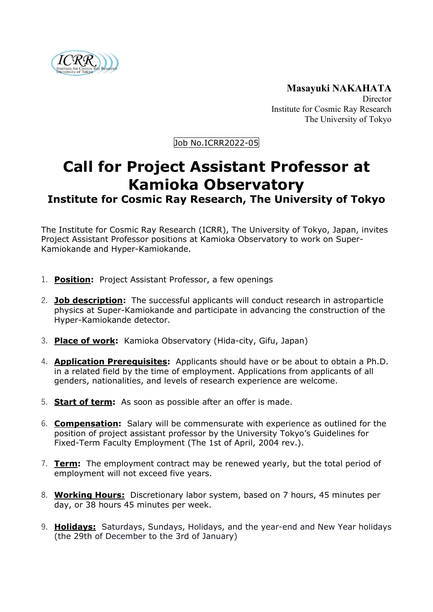

**Masayuki NAKAHATA Director** Institute for Cosmic Ray Research The University of Tokyo

Job No.ICRR2022-05

## **Call for Project Assistant Professor at Kamioka Observatory**

## **Institute for Cosmic Ray Research, The University of Tokyo**

The Institute for Cosmic Ray Research (ICRR), The University of Tokyo, Japan, invites Project Assistant Professor positions at Kamioka Observatory to work on Super-Kamiokande and Hyper-Kamiokande.

- 1. **Position:** Project Assistant Professor, a few openings
- 2. **Job description:** The successful applicants will conduct research in astroparticle physics at Super-Kamiokande and participate in advancing the construction of the Hyper-Kamiokande detector.
- 3. **Place of work:** Kamioka Observatory (Hida-city, Gifu, Japan)
- 4. **Application Prerequisites:** Applicants should have or be about to obtain a Ph.D. in a related field by the time of employment. Applications from applicants of all genders, nationalities, and levels of research experience are welcome.
- 5. **Start of term:** As soon as possible after an offer is made.
- 6. **Compensation:** Salary will be commensurate with experience as outlined for the position of project assistant professor by the University Tokyo's Guidelines for Fixed-Term Faculty Employment (The 1st of April, 2004 rev.).
- 7. **Term:** The employment contract may be renewed yearly, but the total period of employment will not exceed five years.
- 8. **Working Hours:** Discretionary labor system, based on 7 hours, 45 minutes per day, or 38 hours 45 minutes per week.
- 9. **Holidays:** Saturdays, Sundays, Holidays, and the year-end and New Year holidays (the 29th of December to the 3rd of January)